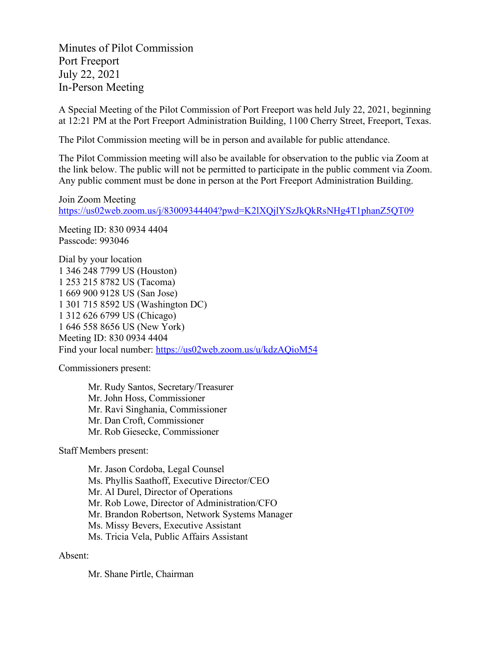Minutes of Pilot Commission Port Freeport July 22, 2021 In-Person Meeting

A Special Meeting of the Pilot Commission of Port Freeport was held July 22, 2021, beginning at 12:21 PM at the Port Freeport Administration Building, 1100 Cherry Street, Freeport, Texas.

The Pilot Commission meeting will be in person and available for public attendance.

The Pilot Commission meeting will also be available for observation to the public via Zoom at the link below. The public will not be permitted to participate in the public comment via Zoom. Any public comment must be done in person at the Port Freeport Administration Building.

Join Zoom Meeting <https://us02web.zoom.us/j/83009344404?pwd=K2lXQjlYSzJkQkRsNHg4T1phanZ5QT09>

Meeting ID: 830 0934 4404 Passcode: 993046

Dial by your location 1 346 248 7799 US (Houston) 1 253 215 8782 US (Tacoma) 1 669 900 9128 US (San Jose) 1 301 715 8592 US (Washington DC) 1 312 626 6799 US (Chicago) 1 646 558 8656 US (New York) Meeting ID: 830 0934 4404 Find your local number:<https://us02web.zoom.us/u/kdzAQioM54>

Commissioners present:

Mr. Rudy Santos, Secretary/Treasurer Mr. John Hoss, Commissioner Mr. Ravi Singhania, Commissioner Mr. Dan Croft, Commissioner Mr. Rob Giesecke, Commissioner

Staff Members present:

Mr. Jason Cordoba, Legal Counsel Ms. Phyllis Saathoff, Executive Director/CEO Mr. Al Durel, Director of Operations Mr. Rob Lowe, Director of Administration/CFO Mr. Brandon Robertson, Network Systems Manager Ms. Missy Bevers, Executive Assistant Ms. Tricia Vela, Public Affairs Assistant

## Absent:

Mr. Shane Pirtle, Chairman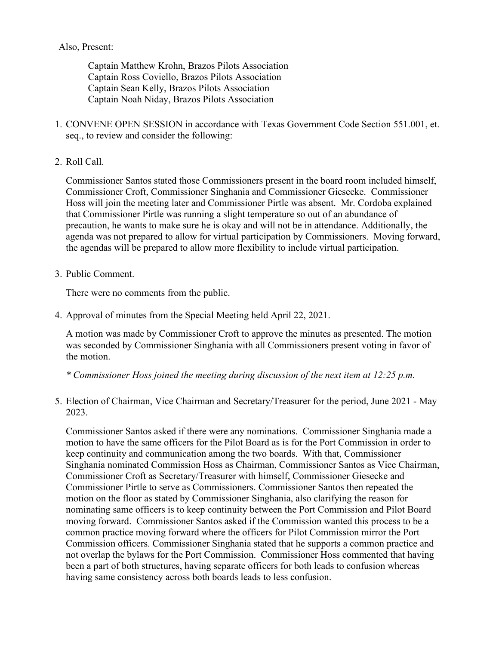## Also, Present:

Captain Matthew Krohn, Brazos Pilots Association Captain Ross Coviello, Brazos Pilots Association Captain Sean Kelly, Brazos Pilots Association Captain Noah Niday, Brazos Pilots Association

- 1. CONVENE OPEN SESSION in accordance with Texas Government Code Section 551.001, et. seq., to review and consider the following:
- 2. Roll Call.

Commissioner Santos stated those Commissioners present in the board room included himself, Commissioner Croft, Commissioner Singhania and Commissioner Giesecke. Commissioner Hoss will join the meeting later and Commissioner Pirtle was absent. Mr. Cordoba explained that Commissioner Pirtle was running a slight temperature so out of an abundance of precaution, he wants to make sure he is okay and will not be in attendance. Additionally, the agenda was not prepared to allow for virtual participation by Commissioners. Moving forward, the agendas will be prepared to allow more flexibility to include virtual participation.

3. Public Comment.

There were no comments from the public.

4. Approval of minutes from the Special Meeting held April 22, 2021.

A motion was made by Commissioner Croft to approve the minutes as presented. The motion was seconded by Commissioner Singhania with all Commissioners present voting in favor of the motion.

*\* Commissioner Hoss joined the meeting during discussion of the next item at 12:25 p.m.*

5. Election of Chairman, Vice Chairman and Secretary/Treasurer for the period, June 2021 - May 2023.

Commissioner Santos asked if there were any nominations. Commissioner Singhania made a motion to have the same officers for the Pilot Board as is for the Port Commission in order to keep continuity and communication among the two boards. With that, Commissioner Singhania nominated Commission Hoss as Chairman, Commissioner Santos as Vice Chairman, Commissioner Croft as Secretary/Treasurer with himself, Commissioner Giesecke and Commissioner Pirtle to serve as Commissioners. Commissioner Santos then repeated the motion on the floor as stated by Commissioner Singhania, also clarifying the reason for nominating same officers is to keep continuity between the Port Commission and Pilot Board moving forward. Commissioner Santos asked if the Commission wanted this process to be a common practice moving forward where the officers for Pilot Commission mirror the Port Commission officers. Commissioner Singhania stated that he supports a common practice and not overlap the bylaws for the Port Commission. Commissioner Hoss commented that having been a part of both structures, having separate officers for both leads to confusion whereas having same consistency across both boards leads to less confusion.